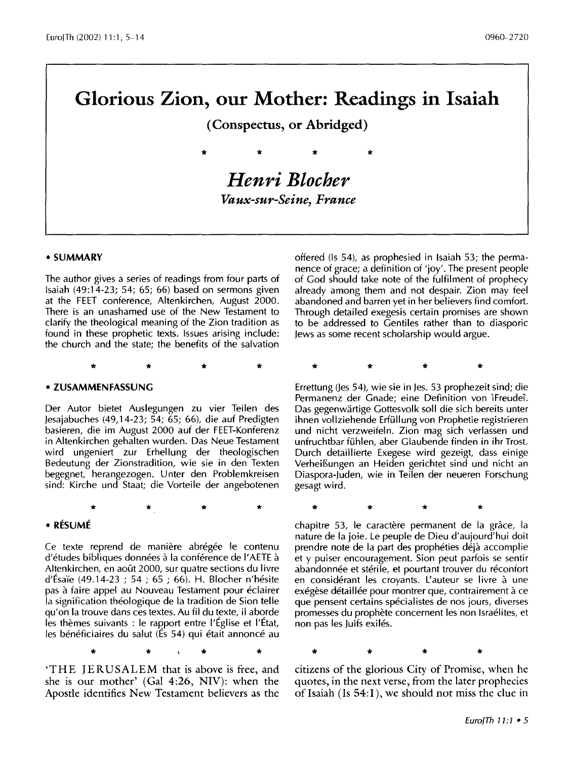# **Glorious Zion, our Mother: Readings in Isaiah**

**(Conspectus, or Abridged)** 

\* \* \* \*

*Henri Blocher Vaux-sur-Seine, France* 

#### • **SUMMARY**

The author gives a series of readings from four parts of Isaiah (49:14-23; 54; 65; 66) based on sermons given at the FEET conference, Altenkirchen, August 2000. There is an unashamed use of the New Testament to clarify the theological meaning of the Zion tradition as found in these prophetic texts. Issues arising include: the church and the state; the benefits of the salvation

\* \* \* \*

#### • **ZUSAMMENFASSUNG**

Der Autor bietet Auslegungen zu vier Teilen des jesajabuches (49, 14-23; 54; 65; 66), die auf Predigten basieren, die im August 2000 auf der FEET-Konferenz in Altenkirchen gehalten wurden. Das Neue Testament wird ungeniert zur Erhellung der theologischen Bedeutung der Zionstradition, wie sie in den Texten begegnet, herangezogen. Unter den Problemkreisen sind: Kirche und Staat; die Vorteile der angebotenen

\* \* \* \*

## • **RESUME**

Ce texte reprend de manière abrégée le contenu d'études bibliques données à la conférence de l'AETE à Altenkirchen, en août 2000, sur quatre sections du livre d'Ésaïe (49.14-23 ; 54 ; 65 ; 66). H. Blocher n'hésite pas à faire appel au Nouveau Testament pour éclairer la signification théologique de la tradition de Sion telle qu'on la trouve dans ces textes. Au fil du texte, il aborde les thèmes suivants : le rapport entre l'Église et l'État, les bénéficiaires du salut (És 54) qui était annoncé au

\* \* \* \*

'THE JERUSALEM that is above is free, and she is our mother' (Gal 4:26, NIV): when the Apostle identifies New Testament believers as the offered (Is 54), as prophesied in Isaiah 53; the permanence of grace; a definition of 'joy'. The present people of God should take note of the fulfilment of prophecy already among them and not despair. Zion may feel abandoned and barren yet in her believers find comfort. Through detailed exegesis certain promises are shown to be addressed to Gentiles rather than to diasporic Jews as some recent scholarship would argue.

\* \* \* \*

Errettung (les 54), wie sie in Jes. 53 prophezeit sind; die Permanenz der Gnade; eine Definition von IFreudeî. Das gegenwartige Gottesvolk soli die sich bereits unter ihnen vollziehende Erfullung von Prophetie registrieren und nicht verzweifeln. Zion mag sich verlassen und unfruchtbar fühlen, aber Glaubende finden in ihr Trost. Durch detaillierte Exegese wird gezeigt, dass einige Verhei&ungen an Heiden gerichtet sind und nicht an Diaspora-juden, wie in Teilen der neueren Forschung gesagt wird.

\* \* \* \*

chapitre 53, le caractère permanent de la grâce, la nature de la joie. Le peuple de Dieu d'aujourd'hui doit prendre note de la part des prophéties déjà accomplie et y puiser encouragement. Sion peut parfois se sentir abandonnée et stérile, et pourtant trouver du réconfort en considérant les croyants. L'auteur se livre à une exégèse détaillée pour montrer que, contrairement à ce que pensent certains specialistes de nos jours, diverses promesses du prophete concernent les non Israelites, et non pas les Juifs exiles.

\* \* \* \* citizens of the glorious City of Promise, when he quotes, in the next verse, from the later prophecies of Isaiah (Is  $54:1$ ), we should not miss the clue in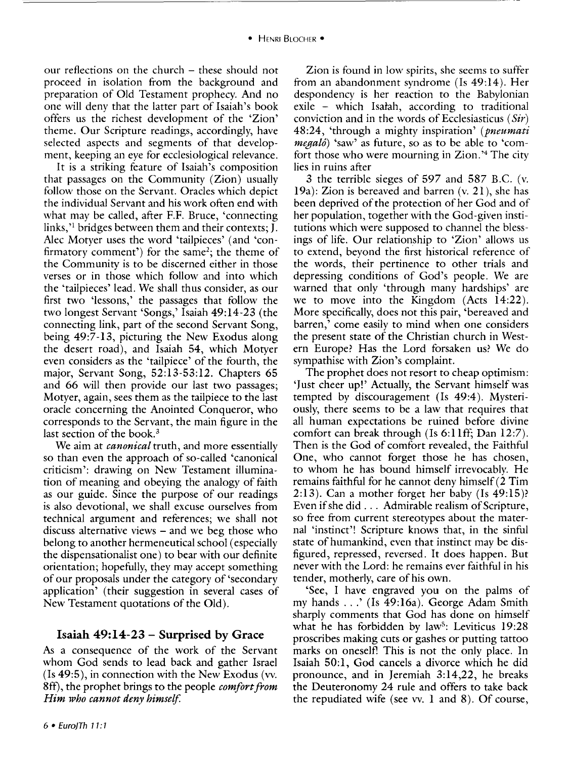our reflections on the church - these should not proceed in isolation from the background and preparation of Old Testament prophecy. And no one will deny that the latter part of Isaiah's book offers us the richest development of the 'Zion' theme. Our Scripture readings, accordingly, have selected aspects and segments of that development, keeping an eye for ecclesiological relevance.

It is a striking feature of Isaiah's composition that passages on the Community (Zion) usually follow those on the Servant. Oracles which depict the individual Servant and his work often end with what may be called, after F.F. Bruce, 'connecting links,<sup> $\cdot$ 1</sup> bridges between them and their contexts; J. Alec Motyer uses the word 'tailpieces' (and 'confirmatory comment') for the same<sup>2</sup>; the theme of the Community is to be discerned either in those verses or in those which follow and into which the 'tailpieces' lead. We shall thus consider, as our first two 'lessons,' the passages that follow the two longest Servant 'Songs,' Isaiah 49:14-23 (the connecting link, part of the second Servant Song, being 49:7-13, picturing the New Exodus along the desert road), and Isaiah 54, which Motyer even considers as the 'tailpiece' of the fourth, the major, Servant Song, 52:13-53:12. Chapters 65 and 66 will then provide our last two passages; Motyer, again, sees them as the tailpiece to the last oracle concerning the Anointed Conqueror, who corresponds to the Servant, the main figure in the last section of the book.<sup>3</sup>

We aim at *canonical* truth, and more essentially so than even the approach of so-called 'canonical criticism': drawing on New Testament illumination of meaning and obeying the analogy of faith as our guide. Since the purpose of our readings is also devotional, we shall excuse ourselves from technical argument and references; we shall not discuss alternative views - and we beg those who belong to another hermeneutical school (especially the dispensationalist one) to bear with our definite orientation; hopefully, they may accept something of our proposals under the category of 'secondary application' (their suggestion in several cases of New Testament quotations of the Old).

## **Isaiah 49:14-23 - Surprised by Grace**

As a consequence of the work of the Servant whom God sends to lead back and gather Israel (Is 49:5), in connection with the New Exodus (vv. 8ff), the prophet brings to the people *comfort from Him who cannot deny himself* 

Zion is found in low spirits, she seems to suffer from an abandonment syndrome (Is 49:14). Her despondency is her reaction to the Babylonian exile - which Isatah, according to traditional conviction and in the words of Ecclesiasticus *(Sir)*  48:24, 'through a mighty inspiration' *(pneumati megalô*) 'saw' as future, so as to be able to 'comfort those who were mourning in Zion. ' 4 The city lies in ruins after

3 the terrible sieges of 597 and 587 B.C. (v. 19a): Zion is bereaved and barren (v. 21 ), she has been deprived of the protection of her God and of her population, together with the God-given institutions which were supposed to channel the blessings of life. Our relationship to 'Zion' allows us to extend, beyond the first historical reference of the words, their pertinence to other trials and depressing conditions of God's people. We are warned that only 'through many hardships' are we to move into the Kingdom (Acts 14:22). More specifically, does not this pair, 'bereaved and barren,' come easily to mind when one considers the present state of the Christian church in Western Europe? Has the Lord forsaken us? We do sympathise with Zion 's complaint.

The prophet does not resort to cheap optimism: 'Just cheer up!' Actually, the Servant himself was tempted by discouragement (Is 49:4 ). Mysteriously, there seems to be a law that requires that all human expectations be ruined before divine comfort can break through (Is 6:1lff; Dan 12:7). Then is the God of comfort revealed, the Faithful One, who cannot forget those he has chosen, to whom he has bound himself irrevocably. He remains faithful for he cannot deny himself(2 Tim 2:13). Can a mother forget her baby (Is 49:15)? Even if she did ... Admirable realism of Scripture, so free from current stereotypes about the maternal 'instinct'! Scripture knows that, in the sinful state of humankind, even that instinct may be disfigured, repressed, reversed. It does happen. But never with the Lord: he remains ever faithful in his tender, motherly, care of his own.

'See, I have engraved you on the palms of my hands ... ' (Is 49:16a). George Adam Smith sharply comments that God has done on himself what he has forbidden by law<sup>5</sup>: Leviticus  $19:28$ proscribes making cuts or gashes or putting tattoo marks on oneself! This is not the only place. In Isaiah 50:1, God cancels a divorce which he did pronounce, and in Jeremiah 3:14,22, he breaks the Deuteronomy 24 rule and offers to take back the repudiated wife (see vv. **1** and 8). Of course,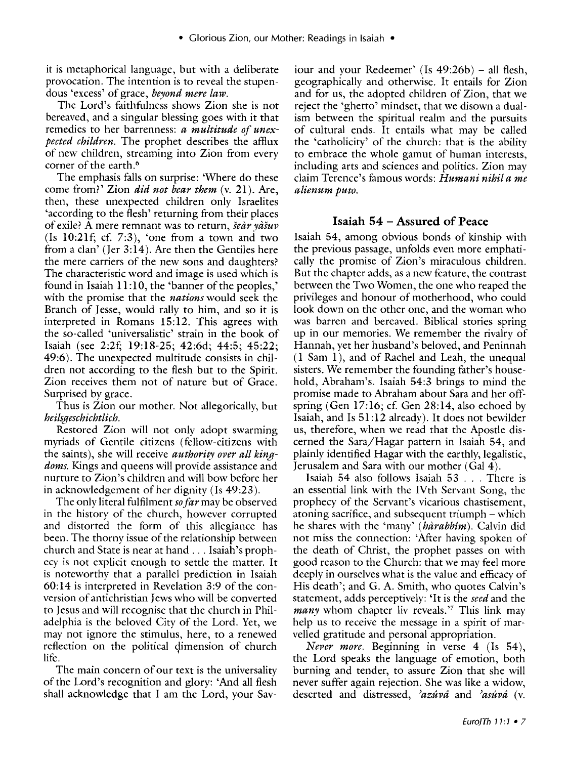it is metaphorical language, but with a deliberate provocation. The intention is to reveal the stupendous 'excess' of grace, *beyond mere law.* 

The Lord's faithfulness shows Zion she is not bereaved, and a singular blessing goes with it that remedies to her barrenness: *a multitude of unexpected children.* The prophet describes the affiux of new children, streaming into Zion from every corner of the earth.<sup>6</sup>

The emphasis falls on surprise: 'Where do these come from?' Zion *did not bear them* (v. 21). Are, then, these unexpected children only Israelites 'according to the flesh' returning from their places of exile? A mere remnant was to return, *sear yasuv*  (Is 10:21f; cf. 7:3), 'one from a town and two from a clan' (Jer 3:14). Are then the Gentiles here the mere carriers of the new sons and daughters? The characteristic word and image is used which is found in Isaiah 11:10, the 'banner of the peoples,' with the promise that the *nations* would seek the Branch of Jesse, would rally to him, and so it is interpreted in Romans 15:12. This agrees with the so-called 'universalistic' strain in the book of Isaiah (see 2:2f; 19:18-25; 42:6d; 44:5; 45:22; 49:6 ). The unexpected multitude consists in children not according to the flesh but to the Spirit. Zion receives them not of nature but of Grace. Surprised by grace.

Thus is Zion our mother. Not allegorically, but *heilsgeschichtlich.* 

Restored Zion will not only adopt swarming myriads of Gentile citizens (fellow-citizens with the saints), she will receive *authority over all kingdoms.* Kings and queens will provide assistance and nurture to Zion's children and will bow before her in acknowledgement of her dignity (Is 49:23).

The only literal fulfilment *so far* may be observed in the history of the church, however corrupted and distorted the form of this allegiance has been. The thorny issue of the relationship between church and State is near at hand ... Isaiah's prophecy is not explicit enough to settle the matter. It is noteworthy that a parallel prediction in Isaiah 60:14 is interpreted in Revelation 3:9 of the conversion of antichristian Jews who will be converted to Jesus and will recognise that the church in Philadelphia is the beloved City of the Lord. Yet, we may not ignore the stimulus, here, to a renewed reflection on the political qimension of church life.

The main concern of our text is the universality of the Lord's recognition and glory: 'And all flesh shall acknowledge that I am the Lord, your Saviour and your Redeemer' (Is  $49:26b$ ) – all flesh, geographically and otherwise. It entails for Zion and for us, the adopted children of Zion, that we reject the 'ghetto' mindset, that we disown a dualism between the spiritual realm and the pursuits of cultural ends. It entails what may be called the 'catholicity' of the church: that is the ability to embrace the whole gamut of human interests, including arts and sciences and politics. Zion may claim Terence's famous words: *Humani nihil a me alienum puto.* 

## **Isaiah 54 - Assured of Peace**

Isaiah 54, among obvious bonds of kinship with the previous passage, unfolds even more emphatically the promise of Zion's miraculous children. But the chapter adds, as a new feature, the contrast between the Two Women, the one who reaped the privileges and honour of motherhood, who could look down on the other one, and the woman who was barren and bereaved. Biblical stories spring up in our memories. We remember the rivalry of Hannah, yet her husband's beloved, and Peninnah ( **l** Sam l ), and of Rachel and Leah, the unequal sisters. We remember the founding father's household, Abraham's. Isaiah 54:3 brings to mind the promise made to Abraham about Sara and her offspring (Gen 17:16; cf. Gen 28:14, also echoed by Isaiah, and Is 51:12 already). It does not bewilder us, therefore, when we read that the Apostle discerned the Sara/Hagar pattern in Isaiah 54, and plainly identified Hagar with the earthly, legalistic, Jerusalem and Sara with our mother (Gal 4).

Isaiah 54 also follows Isaiah 53 ... There is an essential link with the IVth Servant Song, the prophecy of the Servant's vicarious chastisement, atoning sacrifice, and subsequent triumph- which he shares with the 'many' *(hàrabbîm)*. Calvin did not miss the connection: 'After having spoken of the death of Christ, the prophet passes on with good reason to the Church: that we may feel more deeply in ourselves what is the value and efficacy of His death'; and G. A. Smith, who quotes Calvin's statement, adds perceptively: 'It is the *seed* and the *many* whom chapter liv reveals.<sup>7</sup> This link may help us to receive the message in a spirit of marvelled gratitude and personal appropriation.

*Never more.* Beginning in verse 4 (Is 54), the Lord speaks the language of emotion, both burning and tender, to assure Zion that she will never suffer again rejection. She was like a widow, deserted and distressed, *)azuvd* and *)asuvd* (v.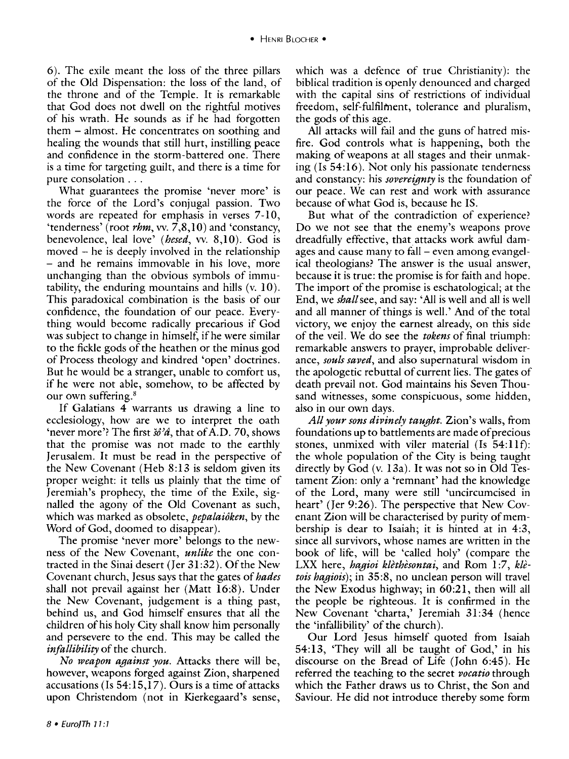#### • HENRI BLOCHER •

6). The exile meant the loss of the three pillars of the Old Dispensation: the loss of the land, of the throne and of the Temple. It is remarkable that God does not dwell on the rightful motives of his wrath. He sounds as if he had forgotten them - almost. He concentrates on soothing and healing the wounds that still hurt, instilling peace and confidence in the storm-battered one. There is a time for targeting guilt, and there is a time for pure consolation ...

What guarantees the promise 'never more' is the force of the Lord's conjugal passion. Two words are repeated for emphasis in verses 7-10, 'tenderness' (root *rhm,* vv. 7,8,10) and 'constancy, benevolence, lea! love' *(hesed,* vv. 8,10). God is moved - he is deeply involved in the relationship - and he remains immovable in his love, more unchanging than the obvious symbols of immutability, the enduring mountains and hills (v. 10). This paradoxical combination is the basis of our confidence, the foundation of our peace. Everything would become radically precarious if God was subject to change in himself, if he were similar to the fickle gods of the heathen or the minus god of Process theology and kindred 'open' doctrines. But he would be a stranger, unable to comfort us, if he were not able, somehow, to be affected by our own suffering.<sup>8</sup>

If Galatians 4 warrants us drawing a line to ecclesiology, how are we to interpret the oath 'never more'? The first  $\delta\delta\hat{\mathcal{A}}$ , that of A.D. 70, shows that the promise was not made to the earthly Jerusalem. It must be read in the perspective of the New Covenant (Heb 8:13 is seldom given its proper weight: it tells us plainly that the time of Jeremiah's prophecy, the time of the Exile, signalled the agony of the Old Covenant as such, which was marked as obsolete, *pepalaioken,* by the Word of God, doomed to disappear).

The promise 'never more' belongs to the newness of the New Covenant, *unlike* the one contracted in the Sinai desert (Jer 31:32). Of the New Covenant church, Jesus says that the gates of *hades*  shall not prevail against her (Matt 16:8). Under the New Covenant, judgement is a thing past, behind us, and God himself ensures that all the children of his holy City shall know him personally and persevere to the end. This may be called the *infallibility* of the church.

*No weapon against you.* Attacks there will be, however, weapons forged against Zion, sharpened accusations (Is 54:15,17). Ours is a time of attacks upon Christendom (not in Kierkegaard's sense,

which was a defence of true Christianity): the biblical tradition is openly denounced and charged with the capital sins of restrictions of individual freedom, self-fulfilment, tolerance and pluralism, the gods of this age.

All attacks will fail and the guns of hatred misfire. God controls what is happening, both the making of weapons at all stages and their unmaking (Is 54:16 ). Not only his passionate tenderness and constancy: his *sovereignty* is the foundation of our peace. We can rest and work with assurance because ofwhat God is, because he IS.

But what of the contradiction of experience? Do we not see that the enemy's weapons prove dreadfully effective, that attacks work awful damages and cause many to fall- even among evangelical theologians? The answer is the usual answer, because it is true: the promise is for faith and hope. The import of the promise is eschatological; at the End, we *shall* see, and say: 'All is well and all is well and all manner of things is well.' And of the total victory, we enjoy the earnest already, on this side of the veil. We do see the *tokens* of final triumph: remarkable answers to prayer, improbable deliverance, *souls saved,* and also supernatural wisdom in the apologetic rebuttal of current lies. The gates of death prevail not. God maintains his Seven Thousand witnesses, some conspicuous, some hidden, also in our own days.

*All your sons divinely taught.* Zion's walls, from foundations up to battlements are made of precious stones, unmixed with viler material (Is 54:llf): the whole population of the City is being taught directly by God (v. 13a). It was not so in Old Testament Zion: only a 'remnant' had the knowledge of the Lord, many were still 'uncircumcised in heart' (Jer 9:26). The perspective that New Covenant Zion will be characterised by purity of membership is dear to Isaiah; it is hinted at in 4:3, since all survivors, whose names are written in the book of life, will be 'called holy' (compare the LXX here, *hagioi klèthèsontai*, and Rom 1:7, klè*tois hagiois);* in 35:8, no unclean person will travel the New Exodus highway; in 60:21, then will all the people be righteous. It is confirmed in the New Covenant 'charta,' Jeremiah 31:34 (hence the 'infallibility' of the church).

Our Lord Jesus himself quoted from Isaiah 54:13, 'They will all be taught of God,' in his discourse on the Bread of Life (John 6:45). He referred the teaching to the secret *vocatio* through which the Father draws us to Christ, the Son and Saviour. He did not introduce thereby some form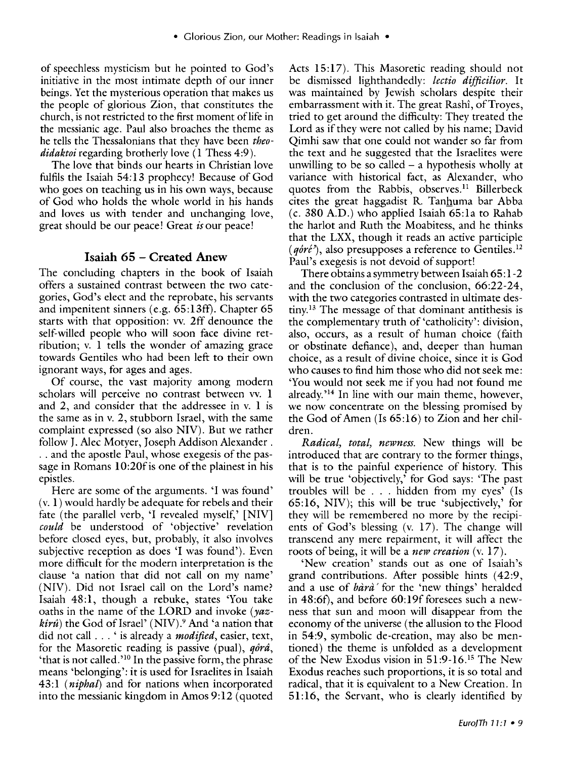of speechless mysticism but he pointed to God's initiative in the most intimate depth of our inner beings. Yet the mysterious operation that makes us the people of glorious Zion, that constitutes the church, is not restricted to the first moment of life in the messianic age. Paul also broaches the theme as he tells the Thessalonians that they have been *theodidaktoi* regarding brotherly love ( 1 Thess 4:9).

The love that binds our hearts in Christian love fulfils the Isaiah 54:13 prophecy! Because of God who goes on teaching us in his own ways, because of God who holds the whole world in his hands and loves us with tender and unchanging love, great should be our peace! Great *is* our peace!

## **Isaiah 65- Created Anew**

The concluding chapters in the book of Isaiah offers a sustained contrast between the two categories, God's elect and the reprobate, his servants and impenitent sinners (e.g. 65:13ff). Chapter 65 starts with that opposition: vv. 2ff denounce the self-willed people who will soon face divine retribution; v. 1 tells the wonder of amazing grace towards Gentiles who had been left to their own ignorant ways, for ages and ages.

Of course, the vast majority among modern scholars will perceive no contrast between vv. 1 and 2, and consider that the addressee in v. **1** is the same as in v. 2, stubborn Israel, with the same complaint expressed (so also NIV). But we rather follow J. Alec Motyer, Joseph Addison Alexander. .. and the apostle Paul, whose exegesis of the passage in Romans 10:20f is one of the plainest in his epistles.

Here are some of the arguments. 'I was found' (v. 1) would hardly be adequate for rebels and their fate (the parallel verb, 'I revealed myself,' [NIV] *could* be understood of 'objective' revelation before closed eyes, but, probably, it also involves subjective reception as does 'I was found'). Even more difficult for the modern interpretation is the clause 'a nation that did not call on my name' (NIV). Did not Israel call on the Lord's name? Isaiah 48:1, though a rebuke, states 'You take oaths in the name of the LORD and invoke (yaz $kir\hat{u}$ ) the God of Israel' (NIV).<sup>9</sup> And 'a nation that did not call ... ' is already a *modified,* easier, text, for the Masoretic reading is passive (pual),  $q\hat{o}r\hat{a}$ , 'that is not called.'10 In the passive form, the phrase means 'belonging': it is used for Israelites in Isaiah 43:1 ( *niphal)* and for nations when incorporated into the messianic kingdom in Amos 9:12 (quoted

Acts 15:17). This Masoretic reading should not be dismissed lighthandedly: *lectio difficilior.* It was maintained by Jewish scholars despite their embarrassment with it. The great Rashî, of Troyes, tried to get around the difficulty: They treated the Lord as if they were not called by his name; David Qimhi saw that one could not wander so far from the text and he suggested that the Israelites were unwilling to be so called  $-$  a hypothesis wholly at variance with historical fact, as Alexander, who quotes from the Rabbis, observes.<sup>11</sup> Billerbeck cites the great haggadist R. Tanhuma bar Abba (c. 380 A.D.) who applied Isaiah 65:1a to Rahab the harlot and Ruth the Moabitess, and he thinks that the LXX, though it reads an active participle  $(q\hat{0}r\hat{e}^{\prime})$ , also presupposes a reference to Gentiles.<sup>12</sup> Paul's exegesis is not devoid of support!

There obtains a symmetry between Isaiah 65:1-2 and the conclusion of the conclusion, 66:22-24, with the two categories contrasted in ultimate destiny.13 The message of that dominant antithesis is the complementary truth of 'catholicity': division, also, occurs, as a result of human choice (faith or obstinate defiance), and, deeper than human choice, as a result of divine choice, since it is God who causes to find him those who did not seek me: 'You would not seek me if you had not found me already.'14 In line with our main theme, however, we now concentrate on the blessing promised by the God of Amen (Is 65:16) to Zion and her children.

*Radical, total, newness.* New things will be introduced that are contrary to the former things, that is to the painful experience of history. This will be true 'objectively,' for God says: 'The past troubles will be ... hidden from my eyes' (Is 65:16, NIV); this will be true 'subjectively,' for they will be remembered no more by the recipients of God's blessing (v. 17). The change will transcend any mere repairment, it will affect the roots of being, it will be a *new creation* (v. 17).

'New creation' stands out as one of Isaiah's grand contributions. After possible hints (42:9, and a use of  $b\hat{a}r\hat{a}'$  for the 'new things' heralded in 48:6f), and before 60:19f foresees such a newness that sun and moon will disappear from the economy of the universe (the allusion to the Flood in 54:9, symbolic de-creation, may also be mentioned) the theme is unfolded as a development of the New Exodus vision in 51:9-16\_15 The New Exodus reaches such proportions, it is so total and radical, that it is equivalent to a New Creation. In 51:16, the Servant, who is clearly identified by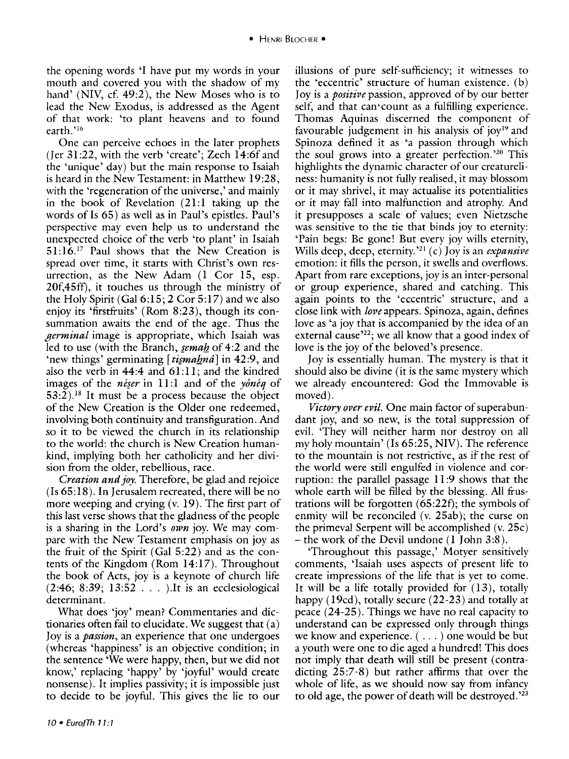the opening words 'I have put my words in your mouth and covered you with the shadow of my hand' (NIV, cf. 49:2), the New Moses who is to lead the New Exodus, is addressed as the Agent of that work: 'to plant heavens and to found earth.'<sup>16</sup>

One can perceive echoes in the later prophets (Jer 31:22, with the verb 'create'; Zech 14:6fand the 'unique' day) but the main response to Isaiah is heard in the New Testament: in Matthew 19:28, with the 'regeneration of the universe,' and mainly in the book of Revelation (21:1 taking up the words of Is 65) as well as in Paul's epistles. Paul's perspective may even help us to understand the unexpected choice of the verb 'to plant' in Isaiah  $51:16<sup>17</sup>$  Paul shows that the New Creation is spread over time, it starts with Christ's own resurrection, as the New Adam (1 Cor 15, esp. 20f,45ff), it touches us through the ministry of the Holy Spirit (Gal 6:15; 2 Cor 5:17) and we also enjoy its 'firstfruits' (Rom 8:23), though its consummation awaits the end of the age. Thus the *germinal* image is appropriate, which Isaiah was led to use (with the Branch, *semah* of 4:2 and the 'new things' germinating [tismahna] in 42:9, and also the verb in  $44:4$  and  $61:11$ ; and the kindred images of the *neser* in 11:1 and of the *yoneq* of  $53:2$ ).<sup>18</sup> It must be a process because the object of the New Creation is the Older one redeemed, involving both continuity and transfiguration. And so it to be viewed the church in its relationship to the world: the church is New Creation humankind, implying both her catholicity and her division from the older, rebellious, race.

*Creation and joy.* Therefore, be glad and rejoice (Is 65:18). In Jerusalem recreated, there will be no more weeping and crying  $(v, 19)$ . The first part of this last verse shows that the gladness of the people is a sharing in the Lord's *own* joy. We may compare with the New Testament emphasis on joy as the fruit of the Spirit (Gal 5:22) and as the contents of the Kingdom (Rom  $14:17$ ). Throughout the book of Acts, joy is a keynote of church life  $(2:46; 8:39; 13:52...)$  It is an ecclesiological determinant.

What does 'joy' mean? Commentaries and dictionaries often fail to elucidate. We suggest that (a) Joy is a *passion,* an experience that one undergoes (whereas 'happiness' is an objective condition; in the sentence 'We were happy, then, but we did not know,' replacing 'happy' by 'joyful' would create nonsense). It implies passivity; it is impossible just to decide to be joyful. This gives the lie to our

illusions of pure self-sufficiency; it witnesses to the 'eccentric' structure of human existence. (b) Joy is a *positive* passion, approved of by our better self, and that can•count as a fulfilling experience. Thomas Aquinas discerned the component of favourable judgement in his analysis of joy<sup>19</sup> and Spinoza defined it as 'a passion through which the soul grows into a greater perfection.'20 This highlights the dynamic character of our creatureliness: humanity is not fully realised, it may blossom or it may shrivel, it may actualise its potentialities or it may fall into malfunction and atrophy. And it presupposes a scale of values; even Nietzsche was sensitive to the tie that binds joy to eternity: 'Pain begs: Be gone! But every joy wills eternity, Wills deep, deep, eternity. ' <sup>21</sup>(c) Joy is an *expansive*  emotion: it fills the person, it swells and overflows. Apart from rare exceptions, joy is an inter-personal or group experience, shared and catching. This again points to the 'eccentric' structure, and a close link with *love* appears. Spinoza, again, defines love as 'a joy that is accompanied by the idea of an external cause<sup> $22$ </sup>; we all know that a good index of love is the joy of the beloved's presence.

Joy is essentially human. The mystery is that it should also be divine (it is the same mystery which we already encountered: God the Immovable is moved).

*Victory over evil.* One main factor of superabundant joy, and so new, is the total suppression of evil. 'They will neither harm nor destroy on all my holy mountain' (Is 65:25, NIV). The reference to the mountain is not restrictive, as if the rest of the world were still engulfed in violence and corruption: the parallel passage 11 :9 shows that the whole earth will be filled by the blessing. All frustrations will be forgotten  $(65:22f)$ ; the symbols of enmity will be reconciled  $(v. 25ab)$ ; the curse on the primeval Serpent will be accomplished (v. 25c) -the work of the Devil undone (1 John 3:8).

'Throughout this passage,' Motyer sensitively comments, 'Isaiah uses aspects of present life to create impressions of the life that is yet to come. It will be a life totally provided for  $(13)$ , totally happy (19cd), totally secure (22-23) and totally at peace (24-25). Things we have no real capacity to understand can be expressed only through things we know and experience. ( ... ) one would be but a youth were one to die aged a hundred! This does not imply that death will still be present (contradicting 25:7-8) but rather affirms that over the whole of life, as we should now say from infancy to old age, the power of death will be destroyed.<sup>223</sup>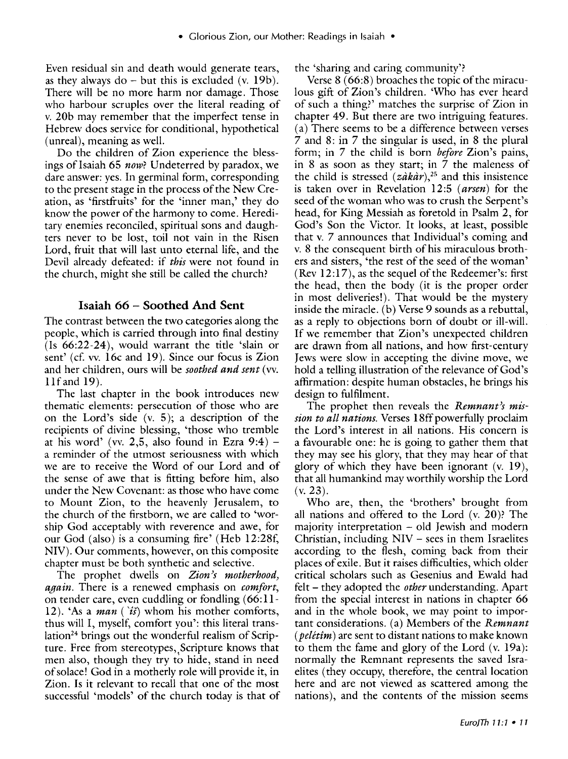Even residual sin and death would generate tears, as they always do  $-$  but this is excluded (v. 19b). There will be no more harm nor damage. Those who harbour scruples over the literal reading of v. 20b may remember that the imperfect tense in Hebrew does service for conditional, hypothetical (unreal), meaning as well.

Do the children of Zion experience the blessings of Isaiah 65 *now*? Undeterred by paradox, we dare answer: yes. In germinal form, corresponding to the present stage in the process of the New Creation, as 'firstfruits' for the 'inner man,' they do know the power of the harmony to come. Hereditary enemies reconciled, spiritual sons and daughters never to be lost, toil not vain in the Risen Lord, fruit that will last unto eternal life, and the Devil already defeated: if *this* were not found in the church, might she still be called the church?

#### **Isaiah** 66 - **Soothed And Sent**

The contrast between the two categories along the people, which is carried through into final destiny (Is 66:22-24), would warrant the title 'slain or sent' (cf. vv. 16c and 19). Since our focus is Zion and her children, ours will be *soothed and sent* (vv. 1lfand 19).

The last chapter in the book introduces new thematic elements: persecution of those who are on the Lord's side  $(v. 5)$ ; a description of the recipients of divine blessing, 'those who tremble at his word' (vv. 2,5, also found in Ezra  $9:4$ ) – a reminder of the utmost seriousness with which we are to receive the Word of our Lord and of the sense of awe that is fitting before him, also under the New Covenant: as those who have come to Mount Zion, to the heavenly Jerusalem, to the church of the firstborn, we are called to 'worship God acceptably with reverence and awe, for our God (also) is a consuming fire' (Heb 12:28f, NIV). Our comments, however, on this composite chapter must be both synthetic and selective.

The prophet dwells on *Zion's motherhood*, *again.* There is a renewed emphasis on *comfort,*  on tender care, even cuddling or fondling  $(66:11-)$ 12). 'As a *man ('is}* whom his mother comforts, thus will I, myself, comfort you': this literal translation<sup>24</sup> brings out the wonderful realism of Scripture. Free from stereotypes, Scripture knows that men also, though they try to hide, stand in need of solace! God in a motherly role will provide it, in Zion. Is it relevant to recall that one of the most successful 'models' of the church today is that of the 'sharing and caring community'?

Verse 8 (66:8) broaches the topic of the miraculous gift of Zion's children. 'Who has ever heard of such a thing?' matches the surprise of Zion in chapter 49. But there are two intriguing features. (a) There seems to be a difference between verses 7 and 8: in 7 the singular is used, in 8 the plural form; in 7 the child is born *before* Zion's pains, in 8 as soon as they start; in 7 the maleness of the child is stressed  $(z \hat{a} k \hat{a} r)$ ,<sup>25</sup> and this insistence is taken over in Revelation 12:5 *(arsen)* for the seed of the woman who was to crush the Serpent's head, for King Messiah as foretold in Psalm 2, for God's Son the Victor. It looks, at least, possible that v. 7 announces that Individual's coming and v. 8 the consequent birth of his miraculous brothers and sisters, 'the rest of the seed of the woman' (Rev  $12:17$ ), as the sequel of the Redeemer's: first the head, then the body (it is the proper order in most deliveries!). That would be the mystery inside the miracle. (b) Verse 9 sounds as a rebuttal, as a reply to objections born of doubt or ill-will. If we remember that Zion's unexpected children are drawn from all nations, and how first-century Jews were slow in accepting the divine move, we hold a telling illustration of the relevance of God's affirmation: despite human obstacles, he brings his design to fulfilment.

The prophet then reveals the *Remnant)s mission to all nations.* Verses 18ff powerfully proclaim the Lord's interest in all nations. His concern is a favourable one: he is going to gather them that they may see his glory, that they may hear of that glory of which they have been ignorant (v. 19), that all humankind may worthily worship the Lord (v. 23).

Who are, then, the 'brothers' brought from all nations and offered to the Lord (v. 20)? The majority interpretation - old Jewish and modern Christian, including  $NIV -$  sees in them Israelites according to the flesh, coming back from their places of exile. But it raises difficulties, which older critical scholars such as Gesenius and Ewald had felt - they adopted the *other* understanding. Apart from the special interest in nations in chapter 66 and in the whole book, we may point to important considerations. (a) Members of the *Remnant (peletim)* are sent to distant nations to make known to them the fame and glory of the Lord  $(v. 19a)$ : normally the Remnant represents the saved Israelites (they occupy, therefore, the central location here and are not viewed as scattered among the nations), and the contents of the mission seems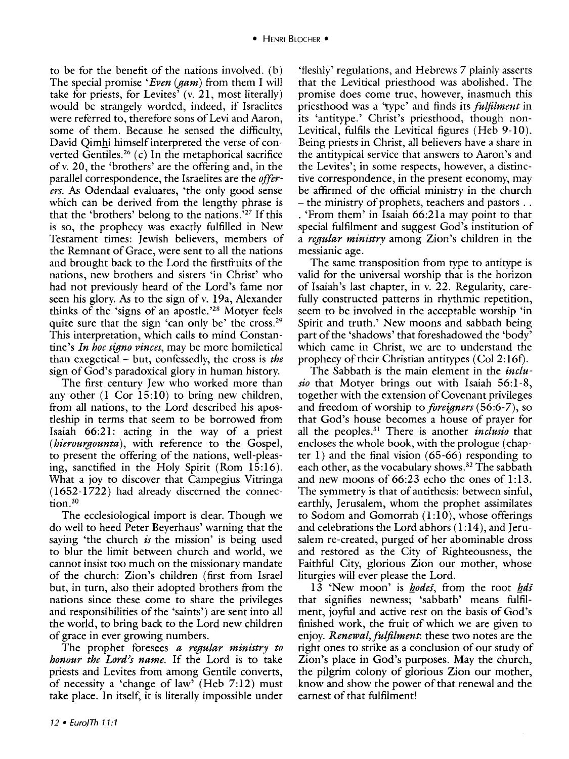to be for the benefit of the nations involved. (b) The special promise *'Even (gam)* from them I will take for priests, for Levites' (v. 21, most literally) would be strangely worded, indeed, if Israelites were referred to, therefore sons of Levi and Aaron, some of them. Because he sensed the difficulty, David Qimhi himself interpreted the verse of converted Gentiles.<sup>26</sup> (c) In the metaphorical sacrifice ofv. 20, the 'brothers' are the offering and, in the parallel correspondence, the Israelites are the *offerers.* As Odendaal evaluates, 'the only good sense which can be derived from the lengthy phrase is that the 'brothers' belong to the nations. ' 27 If this is so, the prophecy was exactly fulfilled in New Testament times: Jewish believers, members of the Remnant of Grace, were sent to all the nations and brought back to the Lord the firstfruits of the nations, new brothers and sisters 'in Christ' who had not previously heard of the Lord's fame nor seen his glory. As to the sign of v. 19a, Alexander thinks of the 'signs of an apostle.'28 Motyer feels quite sure that the sign 'can only be' the cross.<sup>29</sup> This interpretation, which calls to mind Constantine's *In hoc signo vinces,* may be more homiletical than exegetical - but, confessedly, the cross is *the*  sign of God's paradoxical glory in human history.

The first century Jew who worked more than any other (l Cor I5:10) to bring new children, from all nations, to the Lord described his apostleship in terms that seem to be borrowed from Isaiah 66:21: acting in the way of a priest *(hierourgounta),* with reference to the Gospel, to present the offering of the nations, well-pleasing, sanctified in the Holy Spirit (Rom 15:16). What a joy to discover that Campegius Vitringa (1652-1722) had already discerned the connection.<sup>30</sup>

The ecclesiological import is clear. Though we do well to heed Peter Beyerhaus' warning that the saying 'the church *is* the mission' is being used to blur the limit between church and world, we cannot insist too much on the missionary mandate of the church: Zion's children (first from Israel but, in turn, also their adopted brothers from the nations since these come to share the privileges and responsibilities of the 'saints') are sent into all the world, to bring back to the Lord new children of grace in ever growing numbers.

The prophet foresees *a regular ministry to honour the Lord's name.* If the Lord is to take priests and Levites from among Gentile converts, of necessity a 'change of law' (Heb 7:12) must take place. In itself, it is literally impossible under

'fleshly' regulations, and Hebrews 7 plainly asserts that the Levitical priesthood was abolished. The promise does come true, however, inasmuch this priesthood was a 'type' and finds its *fulfilment* in its 'antitype.' Christ's priesthood, though non-Levitical, fulfils the Levitical figures (Heb 9-10). Being priests in Christ, all believers have a share in the antitypical service that answers to Aaron's and the Levites'; in some respects, however, a distinctive correspondence, in the present economy, may be affirmed of the official ministry in the church - the ministry of prophets, teachers and pastors ... . 'From them' in Isaiah 66:21a may point to that special fulfilment and suggest God's institution of a *regular ministry* among Zion 's children in the messianic age.

The same transposition from type to antitype is valid for the universal worship that is the horizon of Isaiah's last chapter, in v. 22. Regularity, carefully constructed patterns in rhythmic repetition, seem to be involved in the acceptable worship 'in Spirit and truth.' New moons and sabbath being part of the 'shadows' that foreshadowed the 'body' which came in Christ, we are to understand the prophecy of their Christian antitypes (Col2:16f).

The Sabbath is the main element in the *inclusio* that Motyer brings out with Isaiah 56:1-8, together with the extension of Covenant privileges and freedom of worship to *foreigners* ( 56:6-7), so that God's house becomes a house of prayer for all the peoples. 31 There is another *inclusio* that encloses the whole book, with the prologue (chapter 1) and the final vision  $(65-66)$  responding to each other, as the vocabulary shows. 32 The sabbath and new moons of  $66:23$  echo the ones of 1:13. The symmetry is that of antithesis: between sinful, earthly, Jerusalem, whom the prophet assimilates to Sodom and Gomorrah  $(1:10)$ , whose offerings and celebrations the Lord abhors  $(1:14)$ , and Jerusalem re-created, purged of her abominable dross and restored as the City of Righteousness, the Faithful City, glorious Zion our mother, whose liturgies will ever please the Lord.

13 'New moon' is *hodes*, from the root *hds* that signifies newness; 'sabbath' means fulfilment, joyful and active rest on the basis of God's finished work, the fruit of which we are given to enjoy. *Renewal,fulfilment:* these two notes are the right ones to strike as a conclusion of our study of Zion's place in God's purposes. May the church, the pilgrim colony of glorious Zion our mother, know and show the power of that renewal and the earnest of that fulfilment!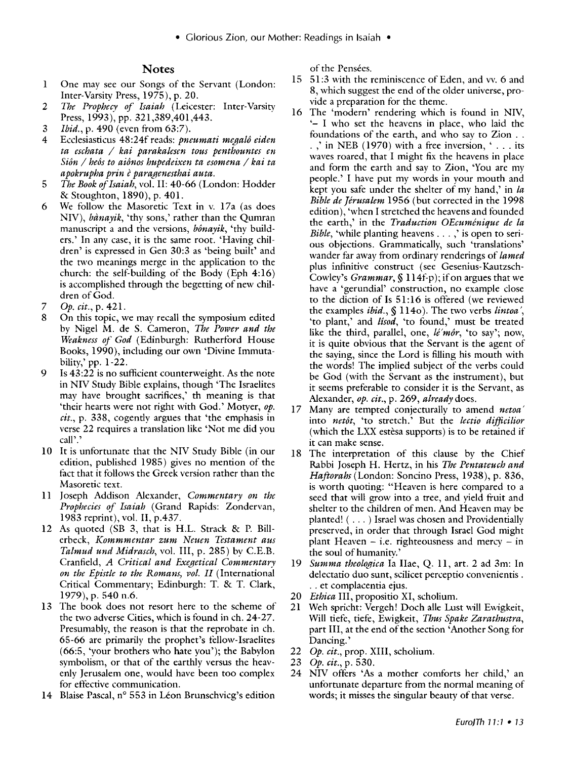#### **Notes**

- 1 One may see our Songs of the Servant (London: Inter-Varsity Press, 1975), p. 20.
- 2 *The Prophecy of Isaiah* (Leicester: Inter-Varsity Press, 1993), pp. 321,389,401,443.
- 3 *Ibid.,* p. 490 (even from 63:7).
- 4 Ecclesiasticus 48:24f reads: *pneumati megalo eiden ta eschata* I *kai parakalesen tous penthountes en Sion* I *heos to aionos hupedeixen ta esomena* I *kai ta apokrupha prin e paragenesthai auta.*
- 5 *The Book of Isaiah,* vol. Il: 40-66 (London: Hodder & Stoughton, 1890), p. 401.
- 6 We follow the Masoretic Text in v. 17a (as does NIV), *banayik,* 'thy sons,' rather than the Qumran manuscript a and the versions, *bonayik,* 'thy builders.' In any case, it is the same root. 'Having children' is expressed in Gen 30:3 as 'being built' and the two meanings merge in the application to the church: the self-building of the Body (Eph 4:16) is accomplished through the begetting of new children of God.
- 7 *Op. cit.,* p. 421.
- 8 On this topic, we may recall the symposium edited by Nigel M. de S. Cameron, *The Power and the Weakness of God* (Edinburgh: Rutherford House Books, 1990), including our own 'Divine Immutability,' pp. 1-22.
- 9 Is 43:22 is no sufficient counterweight. As the note in NIV Study Bible explains, though 'The Israelites may have brought sacrifices,' th meaning is that 'their hearts were not right with God.' Motyer, *op. cit.,* p. 338, cogently argues that 'the emphasis in verse 22 requires a translation like 'Not me did you call'.'
- 10 It is unfortunate that the NIV Study Bible (in our edition, published 1985) gives no mention of the tact that it follows the Greek version rather than the Masoretic text.
- ll Joseph Addison Alexander, *Commentary on the Prophecies of Isaiah* (Grand Rapids: Zondervan, 1983 reprint), vol. II, p.437.
- l2 As quoted (SB 3, that is H.L. Strack & P. Billerbeck, *Kommmentar zum Neuen Testament aus Talmud und Midrasch,* vol. Ill, p. 285) by C.E.B. Cranfield, *A Critical and Exegetical Commentary on the Epistle to the Romans, vol. II* (International Critical Commentary; Edinburgh: T. & T. Clark, 1979), p. 540 n.6.
- 13 The book does not resort here to the scheme of the two adverse Cities, which is found in eh. 24-27. Presumably, the reason is that the reprobate in eh. 65-66 are primarily the prophet's tellow-Israelites (66:5, 'your brothers who hate you'); the Babylon symbolism, or that of the earthly versus the heavenly Jerusalem one, would have been too complex for effective communication.
- 14 Blaise Pascal, n° 553 in Léon Brunschvicg's edition

of the Pensées.

- 15 51:3 with the reminiscence of Eden, and vv. 6 and 8, which suggest the end of the older universe, provide a preparation for the theme.
- 16 The 'modern' rendering which is found in NIV, '- I who set the heavens in place, who laid the foundations of the earth, and who say to Zion .. . ,' in NEB (1970) with a free inversion,  $\cdot$  ... its waves roared, that I might fix the heavens in place and form the earth and say to Zion, 'You are my people.' I have put my words in your mouth and kept you safe under the shelter of my hand,' in *la Bible de Jerusalem* 1956 (but corrected in the 1998 edition), 'when I stretched the heavens and founded the earth,' in the *Traduction OEcumenique de la Bible*, 'while planting heavens . . . ,' is open to serious objections. Grammatically, such 'translations' wander far away from ordinary renderings of *lamed*  plus infinitive construct (see Gesenius-Kautzsch-Cowley's *Grammar,* § 114f-p ); if on argues that we have a 'gerundial' construction, no example close to the diction of Is 51:16 is offered (we reviewed the examples *ibid.,* § ll4o ). The two verbs *lintoa* ·, 'to plant,' and *lisod,* 'to found,' must be treated like the third, parallel, one, *lé'môr*, 'to say'; now, it is quite obvious that the Servant is the agent of the saying, since the Lord is filling his mouth with the words! The implied subject of the verbs could be God (with the Servant as the instrument), but it seems preferable to consider it is the Servant, as Alexander, *op. cit.,* p. 269, *already* does.
- 17 Many are tempted conjecturally to amend *netoa'*  into *netot,* 'to stretch.' But the *lectio difficilior*  (which the LXX estesa supports) is to be retained if it can make sense.
- 18 The interpretation of this clause by the Chief Rabbi Joseph H. Hertz, in his *The Pentateuch and Haftorahs* (London: Soncino Press, 1938), p. 836, is worth quoting: "Heaven is here compared to a seed that will grow into a tree, and yield fruit and shelter to the children of men. And Heaven may be planted! ( ... ) Israel was chosen and Providentially preserved, in order that through Israel God might plant Heaven  $-$  i.e. righteousness and mercy  $-$  in the soul of humanitv.'
- 19 *Summa theologica* Ia IIae, Q. 11, art. 2 ad 3m: In delectatio duo sunt, scilicet perceptio convenientis . .. et complacentia ejus.
- 20 *Ethica* Ill, propositio XI, scholium.
- 21 Weh spricht: Vergeh! Doch alle Lust will Ewigkeit, Will tiefe, tiefe, Ewigkeit, *Thus Spake Zarathustra,*  part III, at the end of the section 'Another Song for Dancing.'
- 22 *Op. cit.,* prop. XIII, scholium.
- 23 *Op. cit.,* p. 530.
- 24 NIV offers 'As a mother comforts her child,' an unfortunate departure from the normal meaning of words; it misses the singular beauty of that verse.